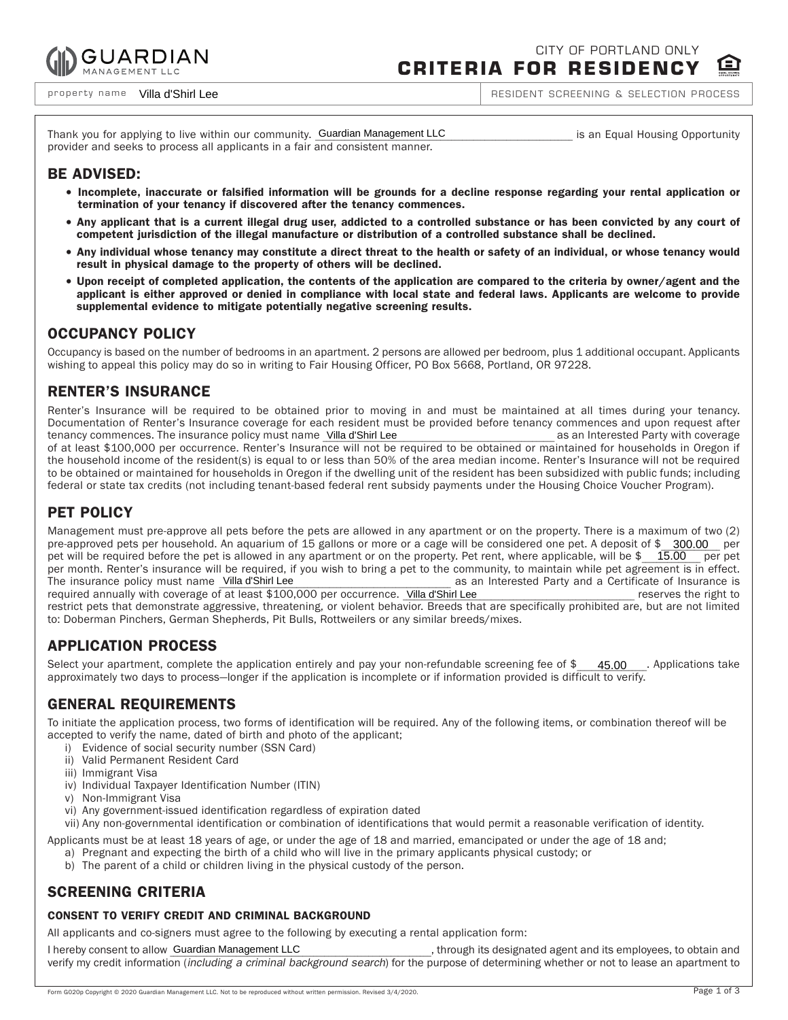

CITY OF PORTLAND ONLY **CRITERIA FOR RESIDENCY**

property name Villa d'Shirl Lee

RESIDENT SCREENING & SELECTION PROCESS

Thank you for applying to live within our community. Guardian Management LLC **we are accommunity of the set of th** provider and seeks to process all applicants in a fair and consistent manner.

## BE ADVISED:

- <sup>=</sup> Incomplete, inaccurate or falsified information will be grounds for a decline response regarding your rental application or termination of your tenancy if discovered after the tenancy commences.
- <sup>=</sup> Any applicant that is a current illegal drug user, addicted to a controlled substance or has been convicted by any court of competent jurisdiction of the illegal manufacture or distribution of a controlled substance shall be declined.
- <sup>=</sup> Any individual whose tenancy may constitute a direct threat to the health or safety of an individual, or whose tenancy would result in physical damage to the property of others will be declined.
- <sup>=</sup> Upon receipt of completed application, the contents of the application are compared to the criteria by owner/agent and the applicant is either approved or denied in compliance with local state and federal laws. Applicants are welcome to provide supplemental evidence to mitigate potentially negative screening results.

### OCCUPANCY POLICY

Occupancy is based on the number of bedrooms in an apartment. 2 persons are allowed per bedroom, plus 1 additional occupant. Applicants wishing to appeal this policy may do so in writing to Fair Housing Officer, PO Box 5668, Portland, OR 97228.

## RENTER'S INSURANCE

Renter's Insurance will be required to be obtained prior to moving in and must be maintained at all times during your tenancy. Documentation of Renter's Insurance coverage for each resident must be provided before tenancy commences and upon request after tenancy commences. The insurance policy must name \_Villa d'Shirl Lee **and a comme aux commences de la comme de l** of at least \$100,000 per occurrence. Renter's Insurance will not be required to be obtained or maintained for households in Oregon if the household income of the resident(s) is equal to or less than 50% of the area median income. Renter's Insurance will not be required to be obtained or maintained for households in Oregon if the dwelling unit of the resident has been subsidized with public funds; including federal or state tax credits (not including tenant-based federal rent subsidy payments under the Housing Choice Voucher Program).

# PET POLICY

Management must pre-approve all pets before the pets are allowed in any apartment or on the property. There is a maximum of two (2) pre-approved pets per household. An aquarium of 15 gallons or more or a cage will be considered one pet. A deposit of \$\_\_300.00\_\_ per pet will be required before the pet is allowed in any apartment or on the property. Pet rent, where applicable, will be \$\_\_\_\_\_\_\_\_\_\_\_\_\_\_\_\_\_\_ per pet per month. Renter's insurance will be required, if you wish to bring a pet to the community, to maintain while pet agreement is in effect. as an Interested Party and a Certificate of Insurance is<br>
reserves the right to required annually with coverage of at least \$100,000 per occurrence. Villa d'Shirl Lee entre entre entre entre right to restrict pets that demonstrate aggressive, threatening, or violent behavior. Breeds that are specifically prohibited are, but are not limited to: Doberman Pinchers, German Shepherds, Pit Bulls, Rottweilers or any similar breeds/mixes. The insurance policy must name Villa d'Shirl Lee

# APPLICATION PROCESS

Select your apartment, complete the application entirely and pay your non-refundable screening fee of  $$$  45.00  $\ldots$  Applications take approximately two days to process—longer if the application is incomplete or if information provided is difficult to verify. 45.00

## GENERAL REQUIREMENTS

To initiate the application process, two forms of identification will be required. Any of the following items, or combination thereof will be accepted to verify the name, dated of birth and photo of the applicant;

- i) Evidence of social security number (SSN Card)
- ii) Valid Permanent Resident Card
- iii) Immigrant Visa
- iv) Individual Taxpayer Identification Number (ITIN)
- v) Non-Immigrant Visa
- vi) Any government-issued identification regardless of expiration dated

vii) Any non-governmental identification or combination of identifications that would permit a reasonable verification of identity.

Applicants must be at least 18 years of age, or under the age of 18 and married, emancipated or under the age of 18 and;

- a) Pregnant and expecting the birth of a child who will live in the primary applicants physical custody; or
- b) The parent of a child or children living in the physical custody of the person.

## SCREENING CRITERIA

### CONSENT TO VERIFY CREDIT AND CRIMINAL BACKGROUND

All applicants and co-signers must agree to the following by executing a rental application form:

, through its designated agent and its employees, to obtain and verify my credit information *(including a criminal background search*) for the purpose of determining whether or not to lease an apartment to I hereby consent to allow Guardian Management LLC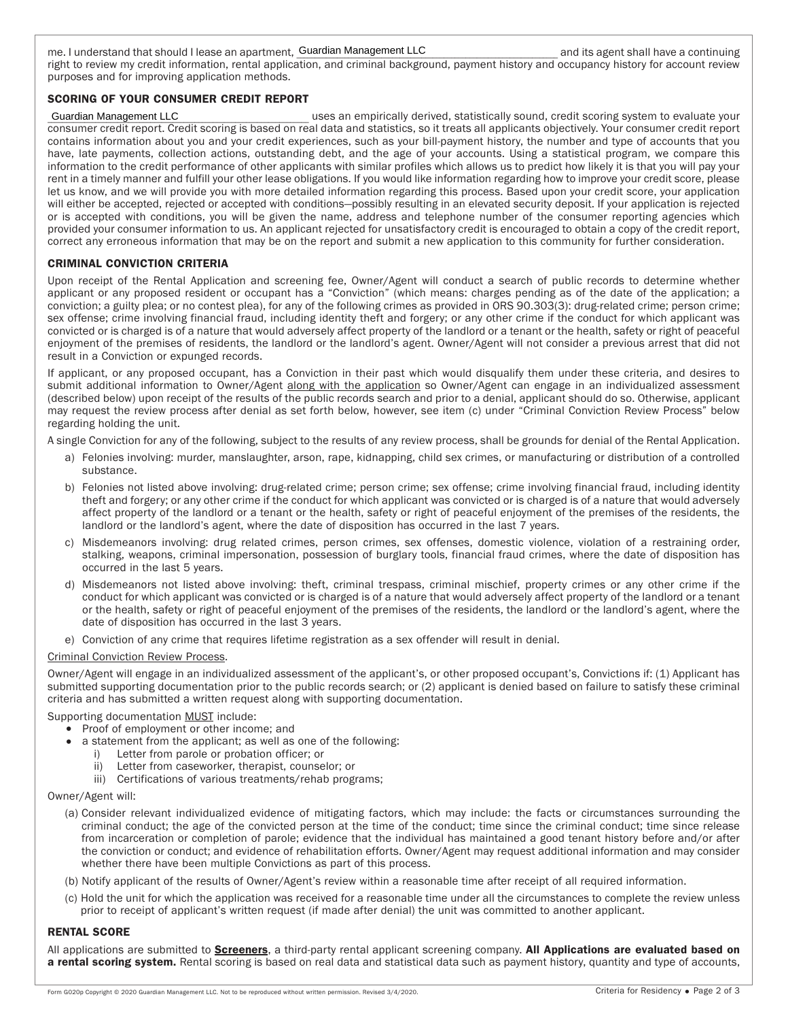me. I understand that should I lease an apartment, \_\_\_\_\_\_\_\_\_\_\_\_\_\_\_\_\_\_\_\_\_\_\_\_\_\_\_\_\_\_\_\_\_\_\_\_\_\_\_\_\_\_\_\_\_\_\_\_\_\_\_\_\_\_\_\_\_\_\_\_\_\_\_\_\_\_\_\_\_\_\_ and its agent shall have a continuing Guardian Management LLC right to review my credit information, rental application, and criminal background, payment history and occupancy history for account review purposes and for improving application methods.

### SCORING OF YOUR CONSUMER CREDIT REPORT

#### Guardian Management LLC

\_\_\_\_\_\_\_\_\_\_\_\_\_\_\_\_\_\_\_\_\_\_\_\_\_\_\_\_\_\_\_\_\_\_\_\_\_\_\_\_\_\_\_\_\_\_\_\_\_\_\_\_\_\_\_\_\_\_\_\_\_\_\_\_\_\_\_\_\_\_\_ uses an empirically derived, statistically sound, credit scoring system to evaluate your consumer credit report. Credit scoring is based on real data and statistics, so it treats all applicants objectively. Your consumer credit report contains information about you and your credit experiences, such as your bill-payment history, the number and type of accounts that you have, late payments, collection actions, outstanding debt, and the age of your accounts. Using a statistical program, we compare this information to the credit performance of other applicants with similar profiles which allows us to predict how likely it is that you will pay your rent in a timely manner and fulfill your other lease obligations. If you would like information regarding how to improve your credit score, please let us know, and we will provide you with more detailed information regarding this process. Based upon your credit score, your application will either be accepted, rejected or accepted with conditions—possibly resulting in an elevated security deposit. If your application is rejected or is accepted with conditions, you will be given the name, address and telephone number of the consumer reporting agencies which provided your consumer information to us. An applicant rejected for unsatisfactory credit is encouraged to obtain a copy of the credit report, correct any erroneous information that may be on the report and submit a new application to this community for further consideration.

#### CRIMINAL CONVICTION CRITERIA

Upon receipt of the Rental Application and screening fee, Owner/Agent will conduct a search of public records to determine whether applicant or any proposed resident or occupant has a "Conviction" (which means: charges pending as of the date of the application; a conviction; a guilty plea; or no contest plea), for any of the following crimes as provided in ORS 90.303(3): drug-related crime; person crime; sex offense; crime involving financial fraud, including identity theft and forgery; or any other crime if the conduct for which applicant was convicted or is charged is of a nature that would adversely affect property of the landlord or a tenant or the health, safety or right of peaceful enjoyment of the premises of residents, the landlord or the landlord's agent. Owner/Agent will not consider a previous arrest that did not result in a Conviction or expunged records.

If applicant, or any proposed occupant, has a Conviction in their past which would disqualify them under these criteria, and desires to submit additional information to Owner/Agent along with the application so Owner/Agent can engage in an individualized assessment (described below) upon receipt of the results of the public records search and prior to a denial, applicant should do so. Otherwise, applicant may request the review process after denial as set forth below, however, see item (c) under "Criminal Conviction Review Process" below regarding holding the unit.

A single Conviction for any of the following, subject to the results of any review process, shall be grounds for denial of the Rental Application.

- a) Felonies involving: murder, manslaughter, arson, rape, kidnapping, child sex crimes, or manufacturing or distribution of a controlled substance.
- b) Felonies not listed above involving: drug-related crime; person crime; sex offense; crime involving financial fraud, including identity theft and forgery; or any other crime if the conduct for which applicant was convicted or is charged is of a nature that would adversely affect property of the landlord or a tenant or the health, safety or right of peaceful enjoyment of the premises of the residents, the landlord or the landlord's agent, where the date of disposition has occurred in the last 7 years.
- c) Misdemeanors involving: drug related crimes, person crimes, sex offenses, domestic violence, violation of a restraining order, stalking, weapons, criminal impersonation, possession of burglary tools, financial fraud crimes, where the date of disposition has occurred in the last 5 years.
- d) Misdemeanors not listed above involving: theft, criminal trespass, criminal mischief, property crimes or any other crime if the conduct for which applicant was convicted or is charged is of a nature that would adversely affect property of the landlord or a tenant or the health, safety or right of peaceful enjoyment of the premises of the residents, the landlord or the landlord's agent, where the date of disposition has occurred in the last 3 years.
- e) Conviction of any crime that requires lifetime registration as a sex offender will result in denial.

### Criminal Conviction Review Process.

Owner/Agent will engage in an individualized assessment of the applicant's, or other proposed occupant's, Convictions if: (1) Applicant has submitted supporting documentation prior to the public records search; or (2) applicant is denied based on failure to satisfy these criminal criteria and has submitted a written request along with supporting documentation.

Supporting documentation MUST include:

- <sup>=</sup> Proof of employment or other income; and
- a statement from the applicant; as well as one of the following:
	- i) Letter from parole or probation officer; or
		- ii) Letter from caseworker, therapist, counselor; or
		- iii) Certifications of various treatments/rehab programs;

#### Owner/Agent will:

- (a) Consider relevant individualized evidence of mitigating factors, which may include: the facts or circumstances surrounding the criminal conduct; the age of the convicted person at the time of the conduct; time since the criminal conduct; time since release from incarceration or completion of parole; evidence that the individual has maintained a good tenant history before and/or after the conviction or conduct; and evidence of rehabilitation efforts. Owner/Agent may request additional information and may consider whether there have been multiple Convictions as part of this process.
- (b) Notify applicant of the results of Owner/Agent's review within a reasonable time after receipt of all required information.
- (c) Hold the unit for which the application was received for a reasonable time under all the circumstances to complete the review unless prior to receipt of applicant's written request (if made after denial) the unit was committed to another applicant.

#### RENTAL SCORE

All applications are submitted to **Screeners**, a third-party rental applicant screening company. All Applications are evaluated based on a rental scoring system. Rental scoring is based on real data and statistical data such as payment history, quantity and type of accounts,